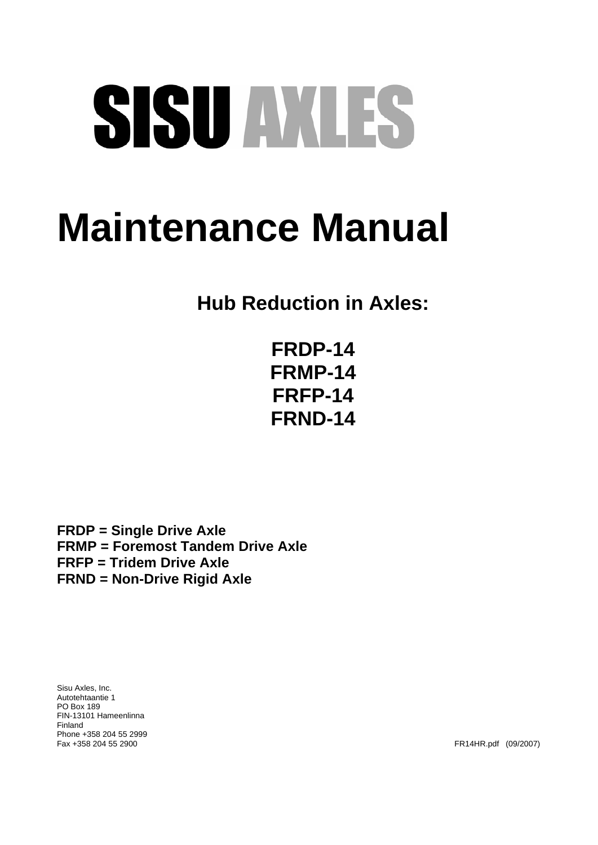# SISU AVLES

# **Maintenance Manual**

**Hub Reduction in Axles:** 

**FRDP-14 FRMP-14 FRFP-14 FRND-14** 

**FRDP = Single Drive Axle FRMP = Foremost Tandem Drive Axle FRFP = Tridem Drive Axle FRND = Non-Drive Rigid Axle** 

Sisu Axles, Inc. Autotehtaantie 1 PO Box 189 FIN-13101 Hameenlinna Finland Phone +358 204 55 2999

FR14HR.pdf (09/2007)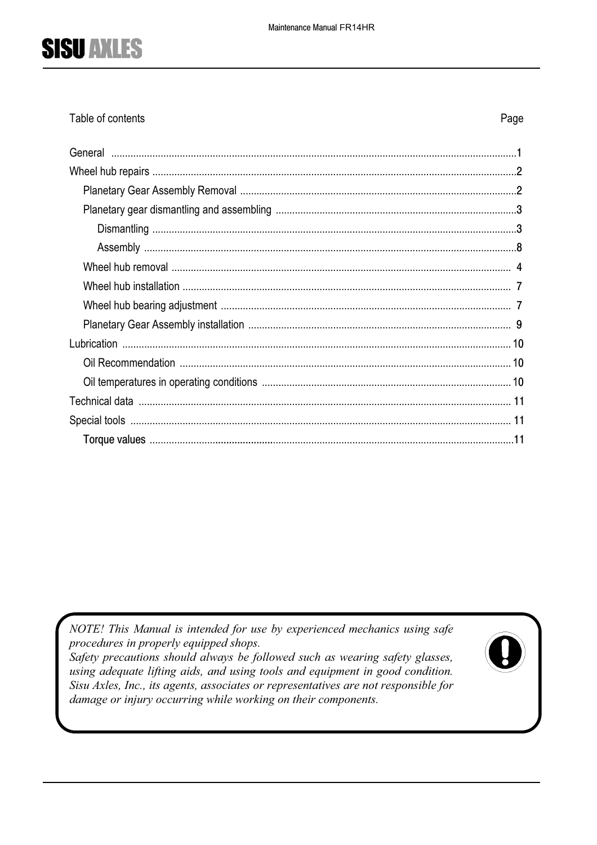Table of contents

Page

NOTE! This Manual is intended for use by experienced mechanics using safe procedures in properly equipped shops.

Safety precautions should always be followed such as wearing safety glasses, using adequate lifting aids, and using tools and equipment in good condition. Sisu Axles, Inc., its agents, associates or representatives are not responsible for damage or injury occurring while working on their components.

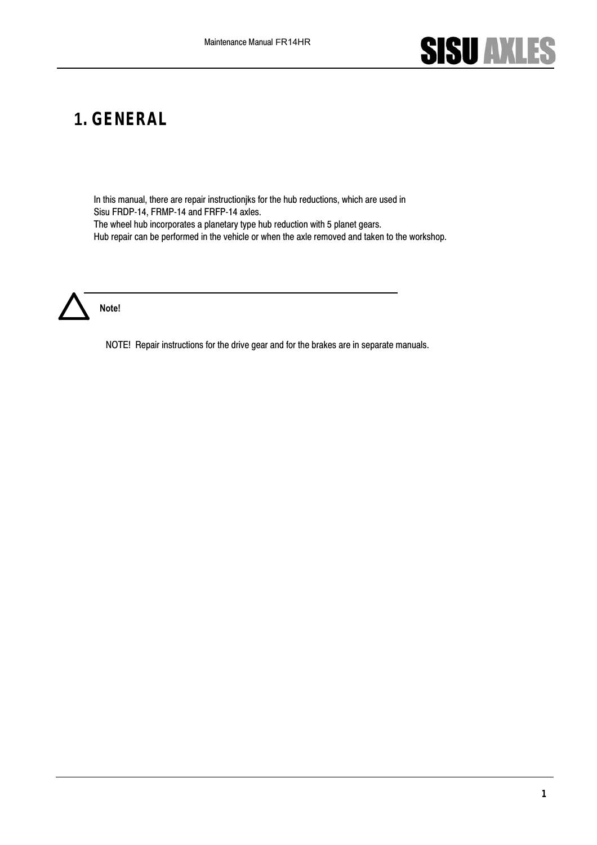

### **1. GENERAL**

In this manual, there are repair instructionjks for the hub reductions, which are used in Sisu FRDP-14, FRMP-14 and FRFP-14 axles. The wheel hub incorporates a planetary type hub reduction with 5 planet gears. Hub repair can be performed in the vehicle or when the axle removed and taken to the workshop.



NOTE! Repair instructions for the drive gear and for the brakes are in separate manuals.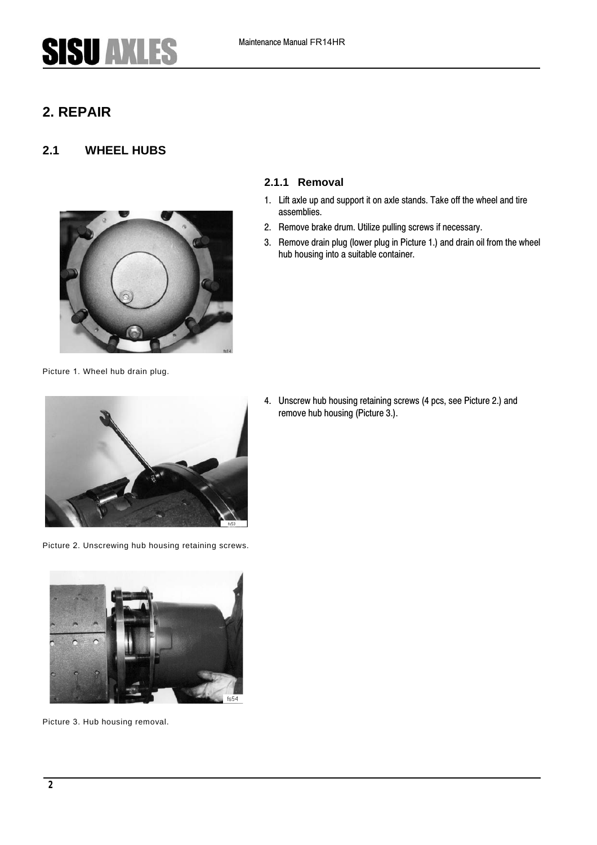### **2. REPAIR**

#### **2.1 WHEEL HUBS**



**2.1.1 Removal**

- 1. Lift axle up and support it on axle stands. Take off the wheel and tire assemblies.
- 2. Remove brake drum. Utilize pulling screws if necessary.
- 3. Remove drain plug (lower plug in [Picture](#page--1-0) [1.](#page--1-0)) and drain oil from the wheel hub housing into a suitable container.

Picture 1. Wheel hub drain plug.



Picture 2. Unscrewing hub housing retaining screws.



Picture 3. Hub housing removal.

4. Unscrew hub housing retaining screws (4 pcs, see [Picture](#page--1-1) 2.) and remove hub housing [\(Picture](#page--1-2) 3.).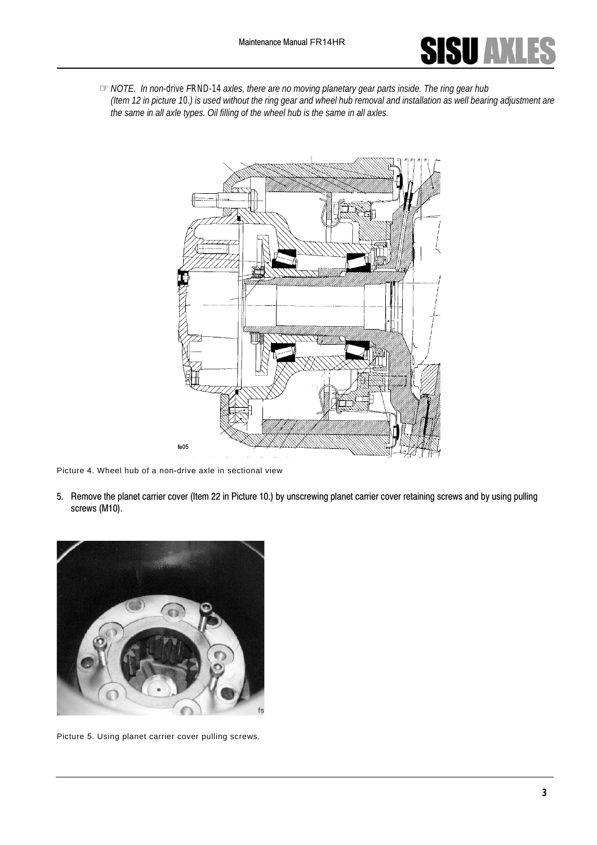

☞*NOTE. In non-drive FRND-14 axles, there are no moving planetary gear parts inside. The ring gear hub (Item 12 in picture 10.) is used without the ring gear and wheel hub removal and installation as well bearing adjustment are the same in all axle types. Oil filling of the wheel hub is the same in all axles.*



Picture 4. Wheel hub of a non-drive axle in sectional view

5. Remove the planet carrier cover (Item 22 in [Picture 10](#page-8-0).) by unscrewing planet carrier cover retaining screws and by using pulling screws (M10).



Picture 5. Using planet carrier cover pulling screws.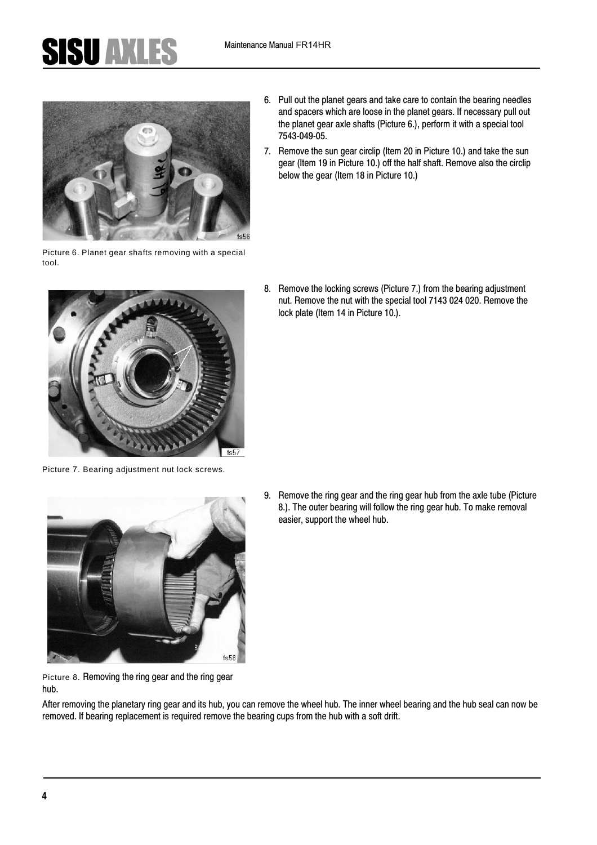

<span id="page-6-0"></span>Picture 6. Planet gear shafts removing with a special tool.

- 6. Pull out the planet gears and take care to contain the bearing needles and spacers which are loose in the planet gears. If necessary pull out the planet gear axle shafts ([Picture 6.\),](#page-6-0) perform it with a special tool 7543-049-05.
- 7. Remove the sun gear circlip (Item 20 in [Picture 10](#page-8-0).) and take the sun gear (Item 19 in Picture 10.) off the half shaft. Remove also the circlip below the gear (Item 18 in Picture 10.)

8. Remove the locking screws [\(Picture 7.\)](#page-6-2) from the bearing adjustment nut. Remove the nut with the special tool 7143 024 020. Remove the lock plate (Item 14 in [Picture 10](#page-8-0).).



Picture 7. Bearing adjustment nut lock screws.

<span id="page-6-2"></span>

9. Remove the ring gear and the ring gear hub from the axle tube ([Picture](#page-6-1) [8.\)](#page-6-1). The outer bearing will follow the ring gear hub. To make removal easier, support the wheel hub.

<span id="page-6-1"></span>Picture 8. Removing the ring gear and the ring gear hub.

After removing the planetary ring gear and its hub, you can remove the wheel hub. The inner wheel bearing and the hub seal can now be removed. If bearing replacement is required remove the bearing cups from the hub with a soft drift.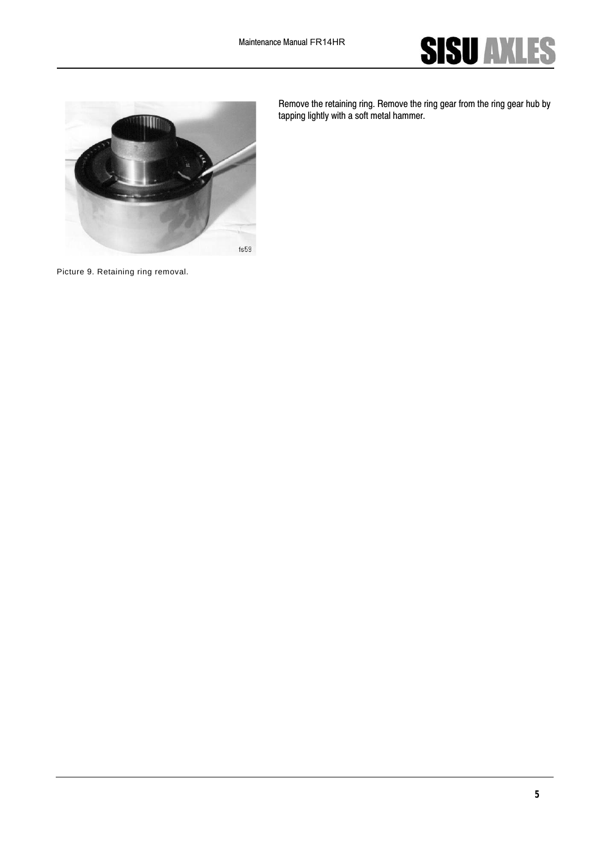



Remove the retaining ring. Remove the ring gear from the ring gear hub by tapping lightly with a soft metal hammer.

Picture 9. Retaining ring removal.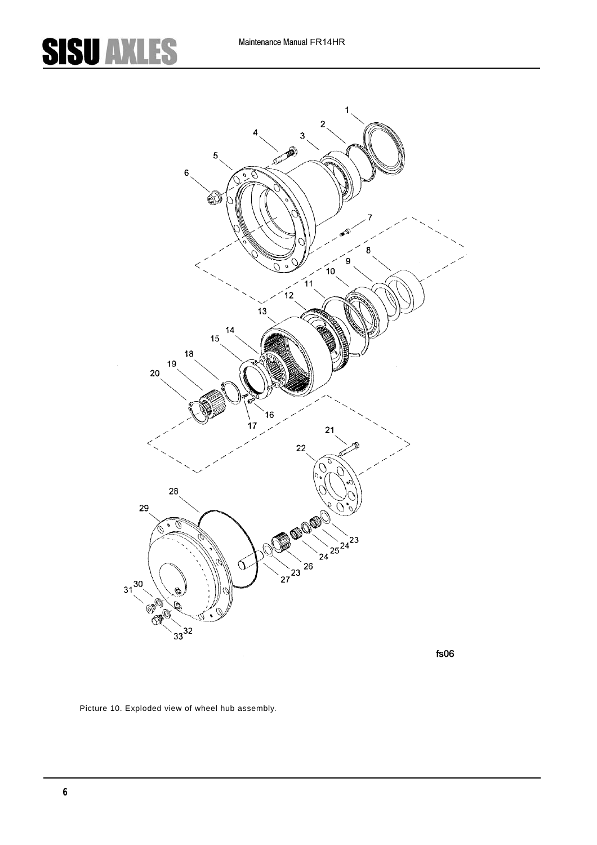

<span id="page-8-0"></span>Picture 10. Exploded view of wheel hub assembly.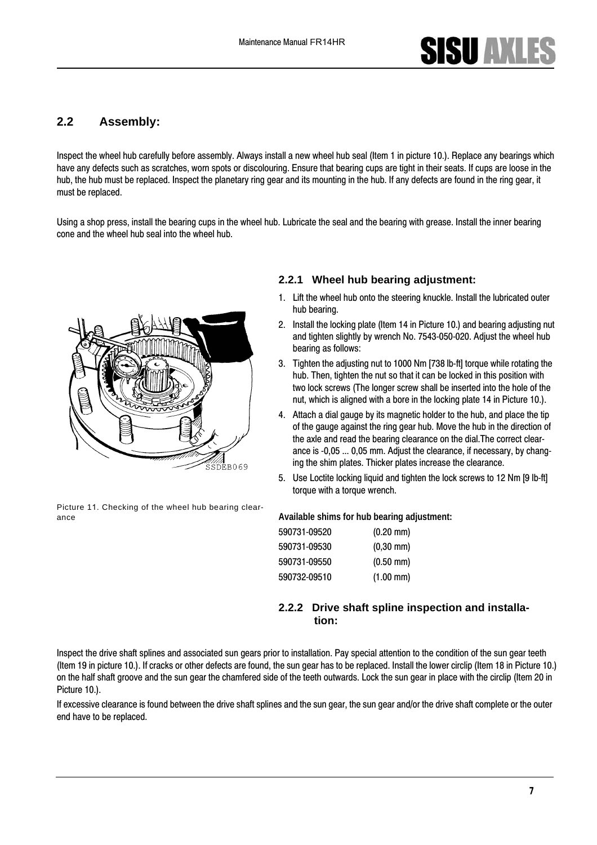#### **2.2 Assembly:**

Inspect the wheel hub carefully before assembly. Always install a new wheel hub seal (Item 1 in picture 10.). Replace any bearings which have any defects such as scratches, worn spots or discolouring. Ensure that bearing cups are tight in their seats. If cups are loose in the hub, the hub must be replaced. Inspect the planetary ring gear and its mounting in the hub. If any defects are found in the ring gear, it must be replaced.

Using a shop press, install the bearing cups in the wheel hub. Lubricate the seal and the bearing with grease. Install the inner bearing cone and the wheel hub seal into the wheel hub.



Picture 11. Checking of the wheel hub bearing clearance **Available shims for hub bearing adjustment:**

#### **2.2.1 Wheel hub bearing adjustment:**

- 1. Lift the wheel hub onto the steering knuckle. Install the lubricated outer hub bearing.
- 2. Install the locking plate (Item 14 in [Picture 10](#page-8-0).) and bearing adjusting nut and tighten slightly by wrench No. 7543-050-020. Adjust the wheel hub bearing as follows:
- 3. Tighten the adjusting nut to 1000 Nm [738 lb-ft] torque while rotating the hub. Then, tighten the nut so that it can be locked in this position with two lock screws (The longer screw shall be inserted into the hole of the nut, which is aligned with a bore in the locking plate 14 in [Picture 10](#page-8-0).).
- 4. Attach a dial gauge by its magnetic holder to the hub, and place the tip of the gauge against the ring gear hub. Move the hub in the direction of the axle and read the bearing clearance on the dial.The correct clearance is -0,05 ... 0,05 mm. Adjust the clearance, if necessary, by changing the shim plates. Thicker plates increase the clearance.
- 5. Use Loctite locking liquid and tighten the lock screws to 12 Nm [9 lb-ft] torque with a torque wrench.

| 590731-09520 | $(0.20 \text{ mm})$ |
|--------------|---------------------|
| 590731-09530 | $(0,30$ mm $)$      |
| 590731-09550 | $(0.50 \text{ mm})$ |
| 590732-09510 | $(1.00$ mm)         |

#### **2.2.2 Drive shaft spline inspection and installation:**

Inspect the drive shaft splines and associated sun gears prior to installation. Pay special attention to the condition of the sun gear teeth (Item 19 in picture 10.). If cracks or other defects are found, the sun gear has to be replaced. Install the lower circlip (Item 18 i[n Picture 10](#page-8-0).) on the half shaft groove and the sun gear the chamfered side of the teeth outwards. Lock the sun gear in place with the circlip (Item 20 in [Picture 10.](#page-8-0)).

If excessive clearance is found between the drive shaft splines and the sun gear, the sun gear and/or the drive shaft complete or the outer end have to be replaced.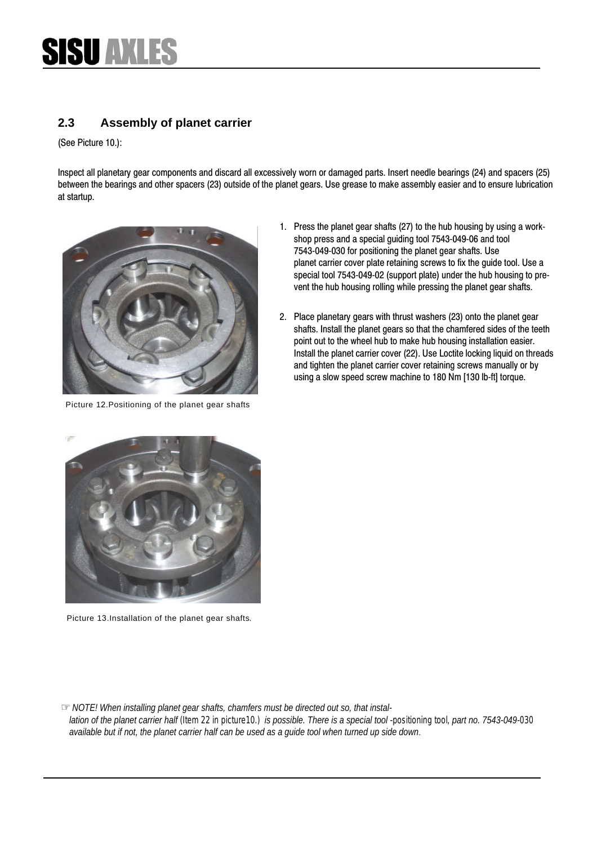#### **2.3 Assembly of planet carrier**

([See Picture](#page-8-0) 10.):

Inspect all planetary gear components and discard all excessively worn or damaged parts. Insert needle bearings (24) and spacers (25) between the bearings and other spacers (23) outside of the planet gears. Use grease to make assembly easier and to ensure lubrication at startup.



Picture 12.Positioning of the planet gear shafts

- 1. Press the planet gear shafts (27) to the hub housing by using a workshop press and a special guiding tool 7543-049-[06 and too](#page-10-0)l 7543-049-030 for positioning the planet gear shafts. Use planet carrier cover plate retaining screws to fix the guide tool. Use a special tool 7543-049-02 (support plate) under the hub housing to prevent the hub housing rolling while pressing the planet gear shafts.
- 2. Place planetary gears with thrust washers (23) onto the planet gear shafts. Install the planet gears so that the chamfered sides of the teeth point out to the wheel hub to make hub housing installation easier. Install the planet carrier cover (22). Use Loctite locking liquid on threads and tighten the planet carrier cover retaining screws manually or by using a slow speed screw machine to 180 Nm [130 lb-ft] torque.

<span id="page-10-0"></span>

Picture 13.Installation of the planet gear shafts.

☞*NOTE! When installing planet gear shafts, chamfers must be directed out so, that installation of the planet carrier half (Item 22 in picture10.) is possible. There is a special tool -positioning tool, part no. 7543-049-030 available but if not, the planet carrier half can be used as a guide tool when turned up side down*.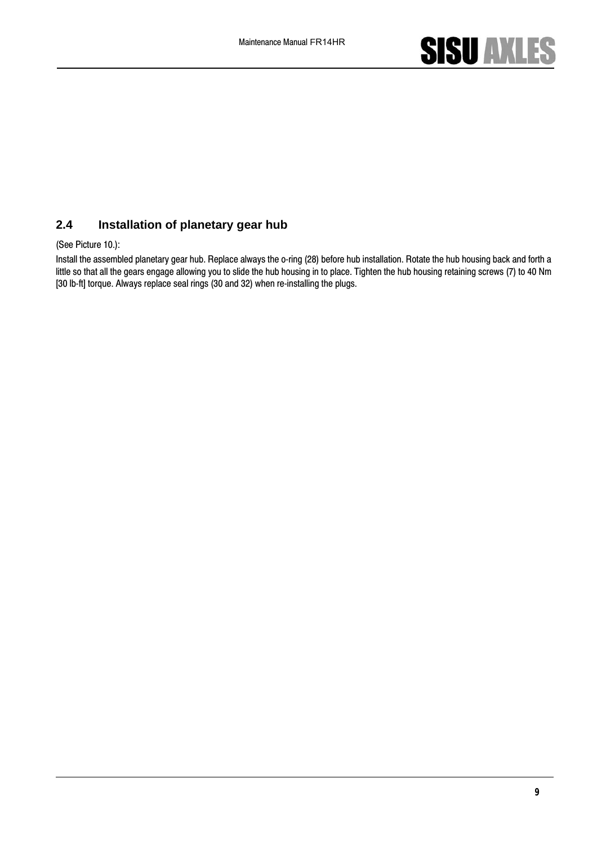

#### **2.4 Installation of planetary gear hub**

(See Picture 10.):

Install the assembled planetary gear hub. Replace always the o-ring (28) before hub installation. Rotate the hub housing back and forth a little so that all the gears engage allowing you to slide the hub housing in to place. Tighten the hub housing retaining screws (7) to 40 Nm [30 lb-ft] torque. Always replace seal rings (30 and 32) when re-installing the plugs.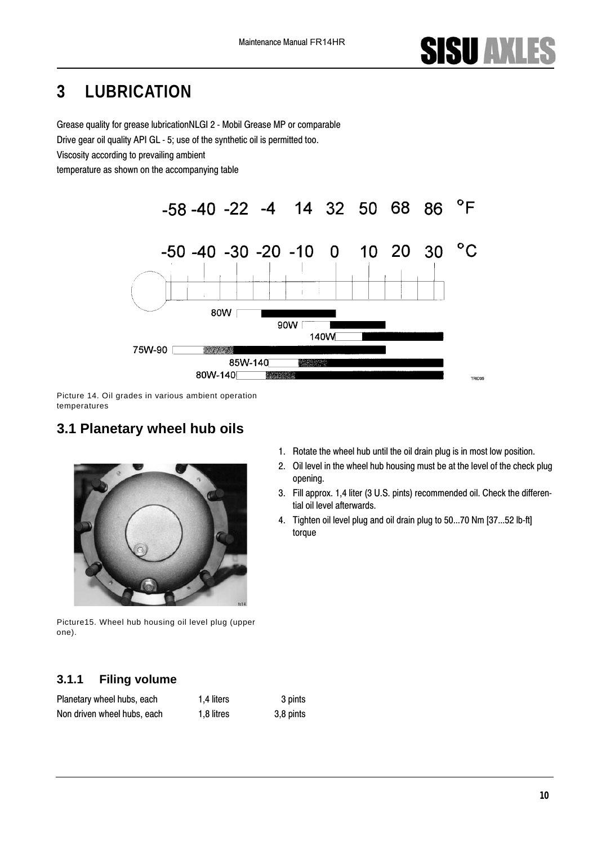### **3 LUBRICATION**

Grease quality for grease lubricationNLGI 2 - Mobil Grease MP or comparable Drive gear oil quality API GL - 5; use of the synthetic oil is permitted too.

Viscosity according to prevailing ambient

temperature as shown on the accompanying table



Picture 14. Oil grades in various ambient operation temperatures

### **3.1 Planetary wheel hub oils**



Picture15. Wheel hub housing oil level plug (upper one).

#### **3.1.1 Filing volume**

| Planetary wheel hubs, each  | 1.4 liters | 3 pints   |
|-----------------------------|------------|-----------|
| Non driven wheel hubs, each | 1,8 litres | 3,8 pints |

- 1. Rotate the wheel hub until the oil drain plug is in most low position.
- 2. Oil level in the wheel hub housing must be at the level of the check plug opening.
- 3. Fill approx. 1,4 liter (3 U.S. pints) recommended oil. Check the differential oil level afterwards.
- 4. Tighten oil level plug and oil drain plug to 50...70 Nm [37...52 lb-ft] torque